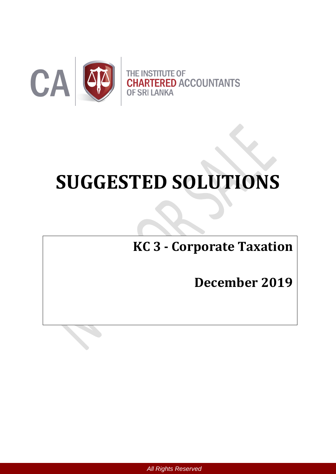

# **SUGGESTED SOLUTIONS**

# **KC 3 - Corporate Taxation**

**December 2019**

*All Rights Reserved*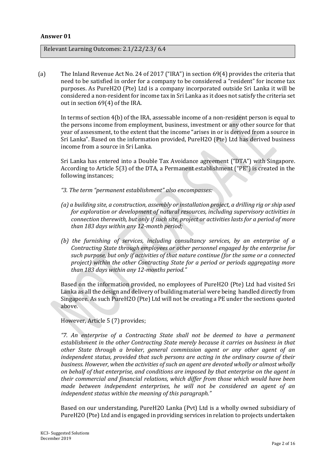#### **Answer 01**

Relevant Learning Outcomes: 2.1/2.2/2.3/ 6.4

(a) The Inland Revenue Act No. 24 of 2017 ("IRA") in section 69(4) provides the criteria that need to be satisfied in order for a company to be considered a "resident" for income tax purposes. As PureH2O (Pte) Ltd is a company incorporated outside Sri Lanka it will be considered a non-resident for income tax in Sri Lanka as it does not satisfy the criteria set out in section 69(4) of the IRA.

In terms of section 4(b) of the IRA, assessable income of a non-resident person is equal to the persons income from employment, business, investment or any other source for that year of assessment, to the extent that the income "arises in or is derived from a source in Sri Lanka". Based on the information provided, PureH2O (Pte) Ltd has derived business income from a source in Sri Lanka.

Sri Lanka has entered into a Double Tax Avoidance agreement ("DTA") with Singapore. According to Article 5(3) of the DTA, a Permanent establishment ("PE") is created in the following instances;

- *"3. The term "permanent establishment" also encompasses:*
- *(a) a building site, a construction, assembly or installation project, a drilling rig or ship used for exploration or development of natural resources, including supervisory activities in connection therewith, but only if such site, project or activities lasts for a period of more than 183 days within any 12-month period;*
- *(b) the furnishing of services, including consultancy services, by an enterprise of a Contracting State through employees or other personnel engaged by the enterprise for such purpose, but only if activities of that nature continue (for the same or a connected project) within the other Contracting State for a period or periods aggregating more than 183 days within any 12-months period."*

Based on the information provided, no employees of PureH2O (Pte) Ltd had visited Sri Lanka as all the design and delivery of building material were being handled directly from Singapore. As such PureH2O (Pte) Ltd will not be creating a PE under the sections quoted above.

However, Article 5 (7) provides;

*"7. An enterprise of a Contracting State shall not be deemed to have a permanent establishment in the other Contracting State merely because it carries on business in that other State through a broker, general commission agent or any other agent of an independent status, provided that such persons are acting in the ordinary course of their business. However, when the activities of such an agent are devoted wholly or almost wholly on behalf of that enterprise, and conditions are imposed by that enterprise on the agent in their commercial and financial relations, which differ from those which would have been made between independent enterprises, he will not be considered an agent of an independent status within the meaning of this paragraph."*

Based on our understanding, PureH2O Lanka (Pvt) Ltd is a wholly owned subsidiary of PureH2O (Pte) Ltd and is engaged in providing services in relation to projects undertaken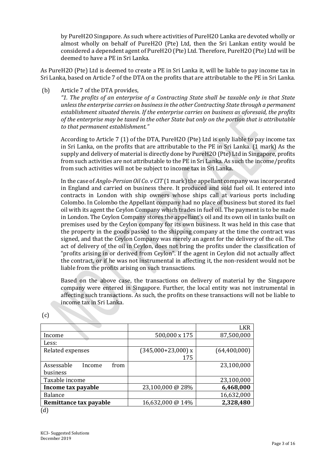by PureH2O Singapore. As such where activities of PureH2O Lanka are devoted wholly or almost wholly on behalf of PureH2O (Pte) Ltd, then the Sri Lankan entity would be considered a dependent agent of PureH2O (Pte) Ltd. Therefore, PureH2O (Pte) Ltd will be deemed to have a PE in Sri Lanka.

As PureH2O (Pte) Ltd is deemed to create a PE in Sri Lanka it, will be liable to pay income tax in Sri Lanka, based on Article 7 of the DTA on the profits that are attributable to the PE in Sri Lanka.

(b) Article 7 of the DTA provides,

*"1. The profits of an enterprise of a Contracting State shall be taxable only in that State unless the enterprise carries on businessin the other Contracting State through a permanent establishment situated therein. If the enterprise carries on business as aforesaid, the profits of the enterprise may be taxed in the other State but only on the portion that is attributable to that permanent establishment."*

According to Article 7 (1) of the DTA, PureH2O (Pte) Ltd is only liable to pay income tax in Sri Lanka, on the profits that are attributable to the PE in Sri Lanka. (1 mark) As the supply and delivery of material is directly done by PureH2O (Pte) Ltd in Singapore, profits from such activities are not attributable to the PE in Sri Lanka. As such the income/profits from such activities will not be subject to income tax in Sri Lanka.

In the case of *Anglo-Persian Oil Co. v CIT* (1 mark) the appellant company was incorporated in England and carried on business there. It produced and sold fuel oil. It entered into contracts in London with ship owners whose ships call at various ports including Colombo. In Colombo the Appellant company had no place of business but stored its fuel oil with its agent the Ceylon Company which trades in fuel oil. The payment is to be made in London. The Ceylon Company stores the appellant's oil and its own oil in tanks built on premises used by the Ceylon company for its own business. It was held in this case that the property in the goods passed to the shipping company at the time the contract was signed, and that the Ceylon Company was merely an agent for the delivery of the oil. The act of delivery of the oil in Ceylon, does not bring the profits under the classification of "profits arising in or derived from Ceylon". If the agent in Ceylon did not actually affect the contract, or if he was not instrumental in affecting it, the non-resident would not be liable from the profits arising on such transactions.

Based on the above case, the transactions on delivery of material by the Singapore company were entered in Singapore. Further, the local entity was not instrumental in affecting such transactions. As such, the profits on these transactions will not be liable to income tax in Sri Lanka.

| ٠<br>× | ٠<br>۰.<br>$\overline{\phantom{a}}$<br>i<br>۰, |
|--------|------------------------------------------------|
|        |                                                |

|                              |                      | <b>LKR</b>   |
|------------------------------|----------------------|--------------|
| Income                       | 500,000 x 175        | 87,500,000   |
| Less:                        |                      |              |
| Related expenses             | $(345,000+23,000)$ x | (64,400,000) |
|                              | 175                  |              |
| Assessable<br>from<br>Income |                      | 23,100,000   |
| <b>business</b>              |                      |              |
| Taxable income               |                      | 23,100,000   |
| Income tax payable           | 23,100,000 @ 28%     | 6,468,000    |
| <b>Balance</b>               |                      | 16,632,000   |
| Remittance tax payable       | 16,632,000 @ 14%     | 2,328,480    |
| てんき                          |                      |              |

<sup>(</sup>d)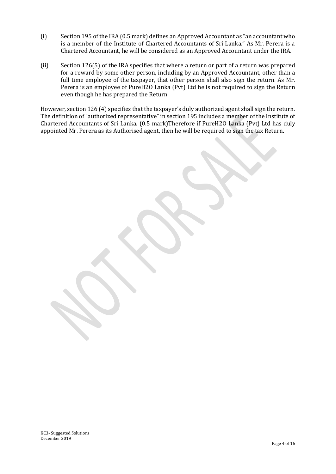- (i) Section 195 of the IRA (0.5 mark) defines an Approved Accountant as "an accountant who is a member of the Institute of Chartered Accountants of Sri Lanka." As Mr. Perera is a Chartered Accountant, he will be considered as an Approved Accountant under the IRA.
- (ii) Section 126(5) of the IRA specifies that where a return or part of a return was prepared for a reward by some other person, including by an Approved Accountant, other than a full time employee of the taxpayer, that other person shall also sign the return. As Mr. Perera is an employee of PureH2O Lanka (Pvt) Ltd he is not required to sign the Return even though he has prepared the Return.

However, section 126 (4) specifies that the taxpayer's duly authorized agent shall sign the return. The definition of "authorized representative" in section 195 includes a member of the Institute of Chartered Accountants of Sri Lanka. (0.5 mark)Therefore if PureH2O Lanka (Pvt) Ltd has duly appointed Mr. Perera as its Authorised agent, then he will be required to sign the tax Return.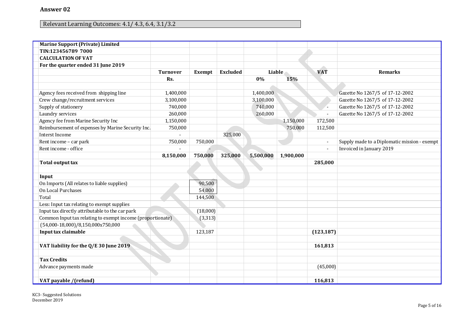#### Relevant Learning Outcomes: 4.1/ 4.3, 6.4, 3.1/3.2

| <b>Marine Support (Private) Limited</b>                    |                 |          |                 |           |           |                          |                                              |
|------------------------------------------------------------|-----------------|----------|-----------------|-----------|-----------|--------------------------|----------------------------------------------|
| TIN:123456789 7000                                         |                 |          |                 |           |           |                          |                                              |
| <b>CALCULATION OF VAT</b>                                  |                 |          |                 |           |           |                          |                                              |
| For the quarter ended 31 June 2019                         |                 |          |                 |           |           |                          |                                              |
|                                                            | <b>Turnover</b> | Exempt   | <b>Excluded</b> | Liable    |           | <b>VAT</b>               | <b>Remarks</b>                               |
|                                                            | Rs.             |          |                 | 0%        | 15%       |                          |                                              |
|                                                            |                 |          |                 |           |           |                          |                                              |
| Agency fees received from shipping line                    | 1,400,000       |          |                 | 1,400,000 |           |                          | Gazette No 1267/5 of 17-12-2002              |
| Crew change/recruitment services                           | 3,100,000       |          |                 | 3,100,000 |           |                          | Gazette No 1267/5 of 17-12-2002              |
| Supply of stationery                                       | 740,000         |          |                 | 740,000   |           |                          | Gazette No 1267/5 of 17-12-2002              |
| Laundry services                                           | 260,000         |          |                 | 260,000   |           | $\overline{\phantom{0}}$ | Gazette No 1267/5 of 17-12-2002              |
| Agency fee from Marine Security Inc                        | 1,150,000       |          |                 |           | 1,150,000 | 172,500                  |                                              |
| Reimbursement of expenses by Marine Security Inc.          | 750,000         |          |                 |           | 750,000   | 112,500                  |                                              |
| <b>Interst Income</b>                                      |                 |          | 325,000         |           |           |                          |                                              |
| Rent income - car park                                     | 750,000         | 750,000  |                 |           |           | $\sim$                   | Supply made to a Diplomatic mission - exempt |
| Rent income - office                                       |                 |          |                 |           |           |                          | Invoiced in January 2019                     |
|                                                            | 8,150,000       | 750,000  | 325,000         | 5,500,000 | 1,900,000 |                          |                                              |
| Total output tax                                           |                 |          |                 |           |           | 285,000                  |                                              |
|                                                            |                 |          |                 |           |           |                          |                                              |
| Input                                                      |                 |          |                 |           |           |                          |                                              |
| On Imports (All relates to liable supplies)                |                 | 90,500   |                 |           |           |                          |                                              |
| On Local Purchases                                         |                 | 54,000   |                 |           |           |                          |                                              |
| Total                                                      |                 | 144,500  |                 |           |           |                          |                                              |
| Less: Input tax relating to exempt supplies                |                 |          |                 |           |           |                          |                                              |
| Input tax directly attributable to the car park            |                 | (18,000) |                 |           |           |                          |                                              |
| Common Input tax relating to exempt income (proportionate) |                 | (3, 313) |                 |           |           |                          |                                              |
| $(54,000-18,000)/8,150,000x750,000$                        |                 |          |                 |           |           |                          |                                              |
| Input tax claimable                                        |                 | 123,187  |                 |           |           | (123, 187)               |                                              |
|                                                            |                 |          |                 |           |           |                          |                                              |
| VAT liability for the Q/E 30 June 2019                     |                 |          |                 |           |           | 161,813                  |                                              |
|                                                            |                 |          |                 |           |           |                          |                                              |
| <b>Tax Credits</b>                                         |                 |          |                 |           |           |                          |                                              |
| Advance payments made                                      |                 |          |                 |           |           | (45,000)                 |                                              |
|                                                            |                 |          |                 |           |           |                          |                                              |
| VAT payable /(refund)                                      |                 |          |                 |           |           | 116,813                  |                                              |

KC3- Suggested Solutions December 2019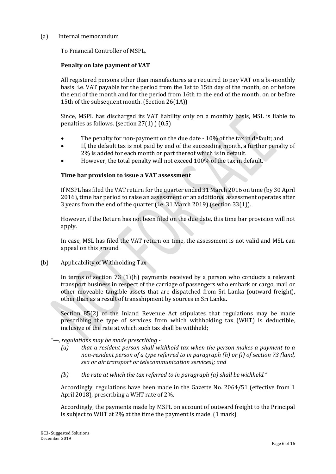#### (a) Internal memorandum

To Financial Controller of MSPL,

#### **Penalty on late payment of VAT**

All registered persons other than manufactures are required to pay VAT on a bi-monthly basis. i.e. VAT payable for the period from the 1st to 15th day of the month, on or before the end of the month and for the period from 16th to the end of the month, on or before 15th of the subsequent month. (Section 26(1A))

Since, MSPL has discharged its VAT liability only on a monthly basis, MSL is liable to penalties as follows. (section 27(1) ) (0.5)

- The penalty for non-payment on the due date 10% of the tax in default; and
- If, the default tax is not paid by end of the succeeding month, a further penalty of 2% is added for each month or part thereof which is in default.
- However, the total penalty will not exceed 100% of the tax in default.

#### **Time bar provision to issue a VAT assessment**

If MSPL has filed the VAT return for the quarter ended 31 March 2016 on time (by 30 April 2016), time bar period to raise an assessment or an additional assessment operates after 3 years from the end of the quarter (i.e. 31 March 2019) (section 33(1)).

However, if the Return has not been filed on the due date, this time bar provision will not apply.

In case, MSL has filed the VAT return on time, the assessment is not valid and MSL can appeal on this ground.

(b) Applicability of Withholding Tax

In terms of section 73 (1)(h) payments received by a person who conducts a relevant transport business in respect of the carriage of passengers who embark or cargo, mail or other moveable tangible assets that are dispatched from Sri Lanka (outward freight), other than as a result of transshipment by sources in Sri Lanka.

Section 85(2) of the Inland Revenue Act stipulates that regulations may be made prescribing the type of services from which withholding tax (WHT) is deductible, inclusive of the rate at which such tax shall be withheld;

#### *"---, regulations may be made prescribing -*

- *(a) that a resident person shall withhold tax when the person makes a payment to a non-resident person of a type referred to in paragraph (h) or (i) of section 73 (land, sea or air transport or telecommunication services); and*
- *(b) the rate at which the tax referred to in paragraph (a) shall be withheld."*

Accordingly, regulations have been made in the Gazette No. 2064/51 (effective from 1 April 2018), prescribing a WHT rate of 2%.

Accordingly, the payments made by MSPL on account of outward freight to the Principal is subject to WHT at 2% at the time the payment is made. (1 mark)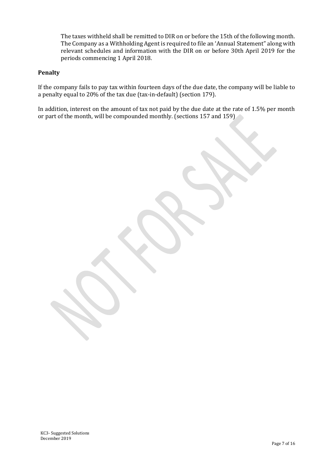The taxes withheld shall be remitted to DIR on or before the 15th of the following month. The Company as a Withholding Agent is required to file an 'Annual Statement" along with relevant schedules and information with the DIR on or before 30th April 2019 for the periods commencing 1 April 2018.

#### **Penalty**

If the company fails to pay tax within fourteen days of the due date, the company will be liable to a penalty equal to 20% of the tax due (tax-in-default) (section 179).

In addition, interest on the amount of tax not paid by the due date at the rate of 1.5% per month or part of the month, will be compounded monthly. (sections 157 and 159)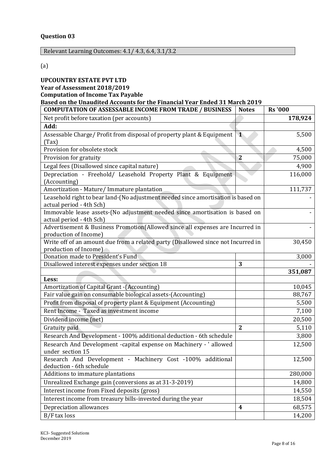Relevant Learning Outcomes: 4.1/ 4.3, 6.4, 3.1/3.2

#### (a)

### **UPCOUNTRY ESTATE PVT LTD**

## **Year of Assessment 2018/2019**

# **Computation of Income Tax Payable**

**Based on the Unaudited Accounts for the Financial Year Ended 31 March 2019**

| <b>COMPUTATION OF ASSESSABLE INCOME FROM TRADE / BUSINESS</b>                                                 | <b>Notes</b>            | <b>Rs</b> '000   |  |
|---------------------------------------------------------------------------------------------------------------|-------------------------|------------------|--|
| Net profit before taxation (per accounts)                                                                     |                         | 178,924          |  |
| Add:                                                                                                          |                         |                  |  |
| Assessable Charge/ Profit from disposal of property plant & Equipment<br>(Tax)                                | $\mathbf{1}$            | 5,500            |  |
| Provision for obsolete stock                                                                                  |                         | 4,500            |  |
| Provision for gratuity                                                                                        | $\overline{2}$          | 75,000           |  |
| Legal fees (Disallowed since capital nature)                                                                  |                         | 4,900            |  |
| Depreciation - Freehold/ Leasehold Property Plant & Equipment<br>(Accounting)                                 |                         | 116,000          |  |
| Amortization - Mature/ Immature plantation                                                                    |                         | 111,737          |  |
| Leasehold right to bear land-(No adjustment needed since amortisation is based on<br>actual period - 4th Sch) |                         |                  |  |
| Immovable lease assets-(No adjustment needed since amortisation is based on<br>actual period - 4th Sch)       |                         |                  |  |
| Advertisement & Business Promotion(Allowed since all expenses are Incurred in<br>production of Income)        |                         |                  |  |
| Write off of an amount due from a related party (Disallowed since not Incurred in<br>production of Income)    |                         | 30,450           |  |
| Donation made to President's Fund                                                                             |                         | 3,000            |  |
| Disallowed interest expenses under section 18                                                                 | 3                       |                  |  |
|                                                                                                               |                         | 351,087          |  |
| Less:                                                                                                         |                         |                  |  |
| Amortization of Capital Grant - (Accounting)<br>Fair value gain on consumable biological assets-(Accounting)  |                         | 10,045<br>88,767 |  |
| Profit from disposal of property plant & Equipment (Accounting)                                               |                         | 5,500            |  |
| Rent Income - Taxed as investment income                                                                      |                         | 7,100            |  |
| Dividend income (net)                                                                                         |                         | 20,500           |  |
|                                                                                                               | $\overline{2}$          | 5,110            |  |
| Gratuity paid<br>Research And Development - 100% additional deduction - 6th schedule                          |                         | 3,800            |  |
|                                                                                                               |                         |                  |  |
| Research And Development -capital expense on Machinery - 'allowed<br>under section 15                         |                         | 12,500           |  |
| Research And Development - Machinery Cost -100% additional<br>deduction - 6th schedule                        |                         | 12,500           |  |
| Additions to immature plantations                                                                             |                         | 280,000          |  |
| Unrealized Exchange gain (conversions as at 31-3-2019)                                                        |                         | 14,800           |  |
| Interest income from Fixed deposits (gross)                                                                   |                         | 14,550           |  |
| Interest income from treasury bills-invested during the year                                                  |                         | 18,504           |  |
| Depreciation allowances                                                                                       | $\overline{\mathbf{4}}$ | 68,575           |  |
| B/F tax loss                                                                                                  |                         | 14,200           |  |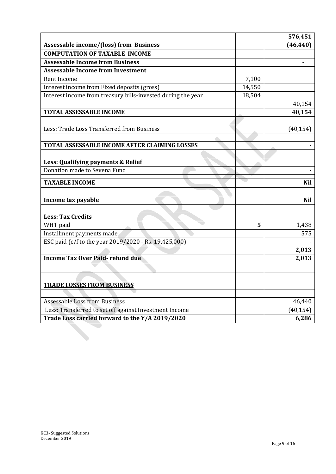|                                                              |        | 576,451    |
|--------------------------------------------------------------|--------|------------|
| <b>Assessable income/(loss) from Business</b>                |        | (46, 440)  |
| <b>COMPUTATION OF TAXABLE INCOME</b>                         |        |            |
| <b>Assessable Income from Business</b>                       |        |            |
| <b>Assessable Income from Investment</b>                     |        |            |
| Rent Income                                                  | 7,100  |            |
| Interest income from Fixed deposits (gross)                  | 14,550 |            |
| Interest income from treasury bills-invested during the year | 18,504 |            |
|                                                              |        | 40,154     |
| <b>TOTAL ASSESSABLE INCOME</b>                               |        | 40,154     |
|                                                              |        |            |
| Less: Trade Loss Transferred from Business                   |        | (40, 154)  |
|                                                              |        |            |
| TOTAL ASSESSABLE INCOME AFTER CLAIMING LOSSES                |        |            |
|                                                              |        |            |
| Less: Qualifying payments & Relief                           |        |            |
| Donation made to Sevena Fund                                 |        |            |
| <b>TAXABLE INCOME</b>                                        |        | Nil        |
|                                                              |        |            |
| Income tax payable                                           |        | <b>Nil</b> |
|                                                              |        |            |
| <b>Less: Tax Credits</b>                                     |        |            |
| WHT paid                                                     | 5      | 1,438      |
| Installment payments made                                    |        | 575        |
| ESC paid (c/f to the year 2019/2020 - Rs. 19,425,000)        |        |            |
|                                                              |        | 2,013      |
| <b>Income Tax Over Paid-refund due</b>                       |        | 2,013      |
|                                                              |        |            |
|                                                              |        |            |
|                                                              |        |            |
| <b>TRADE LOSSES FROM BUSINESS</b>                            |        |            |
|                                                              |        |            |
| <b>Assessable Loss from Business</b>                         |        | 46,440     |
| Less: Transferred to set off against Investment Income       |        | (40, 154)  |
| Trade Loss carried forward to the Y/A 2019/2020              |        | 6,286      |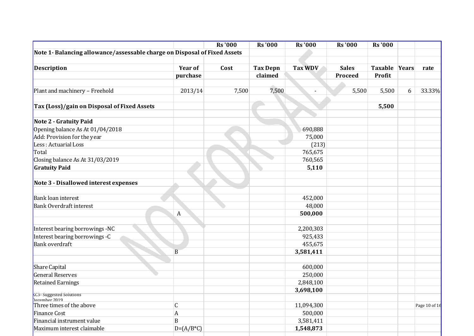|                                                                           |                  | <b>Rs</b> '000 | <b>Rs</b> '000  | <b>Rs</b> '000 | <b>Rs</b> '000 | <b>Rs</b> '000 |   |               |
|---------------------------------------------------------------------------|------------------|----------------|-----------------|----------------|----------------|----------------|---|---------------|
| Note 1- Balancing allowance/assessable charge on Disposal of Fixed Assets |                  |                |                 |                |                |                |   |               |
|                                                                           |                  |                |                 |                |                |                |   |               |
| <b>Description</b>                                                        | Year of          | Cost           | <b>Tax Depn</b> | <b>Tax WDV</b> | <b>Sales</b>   | Taxable Years  |   | rate          |
|                                                                           | purchase         |                | claimed         |                | Proceed        | Profit         |   |               |
| Plant and machinery - Freehold                                            | 2013/14          | 7,500          | 7,500           | $\blacksquare$ | 5,500          | 5,500          | 6 | 33.33%        |
| Tax (Loss)/gain on Disposal of Fixed Assets                               |                  |                |                 |                |                | 5,500          |   |               |
| <b>Note 2 - Gratuity Paid</b>                                             |                  |                |                 |                |                |                |   |               |
| Opening balance As At 01/04/2018                                          |                  |                |                 | 690,888        |                |                |   |               |
| Add: Provision for the year                                               |                  |                |                 | 75,000         |                |                |   |               |
| Less: Actuarial Loss                                                      |                  |                |                 | (213)          |                |                |   |               |
| Total                                                                     |                  |                |                 | 765,675        |                |                |   |               |
| Closing balance As At 31/03/2019                                          |                  |                |                 | 760,565        |                |                |   |               |
| <b>Gratuity Paid</b>                                                      |                  |                |                 | 5,110          |                |                |   |               |
| Note 3 - Disallowed interest expenses                                     |                  |                |                 |                |                |                |   |               |
| <b>Bank loan interest</b>                                                 |                  |                |                 | 452,000        |                |                |   |               |
| <b>Bank Overdraft interest</b>                                            |                  |                |                 | 48,000         |                |                |   |               |
|                                                                           | $\boldsymbol{A}$ |                |                 | 500,000        |                |                |   |               |
| Interest bearing borrowings -NC                                           |                  |                |                 | 2,200,303      |                |                |   |               |
| Interest bearing borrowings -C                                            |                  |                |                 | 925,433        |                |                |   |               |
| <b>Bank overdraft</b>                                                     |                  |                |                 | 455,675        |                |                |   |               |
|                                                                           | $\, {\bf B}$     |                |                 | 3,581,411      |                |                |   |               |
| Share Capital                                                             |                  |                |                 | 600,000        |                |                |   |               |
| <b>General Reserves</b>                                                   |                  |                |                 | 250,000        |                |                |   |               |
| <b>Retained Earnings</b>                                                  |                  |                |                 | 2,848,100      |                |                |   |               |
| KC3- Suggested Solutions                                                  |                  |                |                 | 3,698,100      |                |                |   |               |
| December 2019                                                             |                  |                |                 |                |                |                |   |               |
| Three times of the above                                                  | $\mathsf C$      |                |                 | 11,094,300     |                |                |   | Page 10 of 16 |
| <b>Finance Cost</b>                                                       | $\mathbf{A}$     |                |                 | 500,000        |                |                |   |               |
| Financial instrument value                                                | $\, {\bf B}$     |                |                 | 3,581,411      |                |                |   |               |
| Maximum interest claimable                                                | $D=(A/B*C)$      |                |                 | 1,548,873      |                |                |   |               |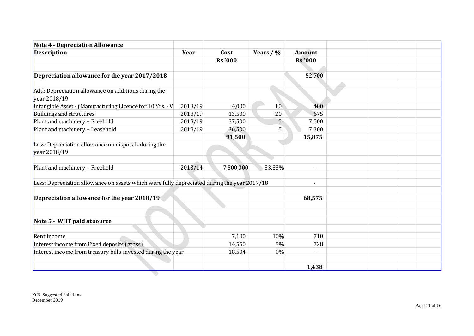| Note 4 - Depreciation Allowance                                                             |         |                |                 |                          |  |  |
|---------------------------------------------------------------------------------------------|---------|----------------|-----------------|--------------------------|--|--|
| Description                                                                                 | Year    | Cost           | Years $/$ %     | <b>Amount</b>            |  |  |
|                                                                                             |         | <b>Rs</b> '000 |                 | <b>Rs</b> '000           |  |  |
|                                                                                             |         |                |                 |                          |  |  |
| Depreciation allowance for the year 2017/2018                                               |         |                |                 | 52,700                   |  |  |
|                                                                                             |         |                |                 |                          |  |  |
| Add: Depreciation allowance on additions during the<br>year 2018/19                         |         |                |                 |                          |  |  |
| Intangible Asset - (Manufacturing Licence for 10 Yrs. - V                                   | 2018/19 | 4,000          | 10 <sup>°</sup> | 400                      |  |  |
| Buildings and structures                                                                    | 2018/19 | 13,500         | 20              | 675                      |  |  |
| Plant and machinery - Freehold                                                              | 2018/19 | 37,500         | 5               | 7,500                    |  |  |
| Plant and machinery - Leasehold                                                             | 2018/19 | 36,500         | 5               | 7,300                    |  |  |
|                                                                                             |         | 91,500         |                 | 15,875                   |  |  |
| Less: Depreciation allowance on disposals during the<br>year 2018/19                        |         |                |                 |                          |  |  |
|                                                                                             |         |                |                 |                          |  |  |
| Plant and machinery - Freehold                                                              | 2013/14 | 7,500,000      | 33.33%          | $\overline{\phantom{a}}$ |  |  |
| Less: Depreciation allowance on assets which were fully depreciated during the year 2017/18 |         |                |                 | ۰                        |  |  |
| Depreciation allowance for the year 2018/19                                                 |         |                |                 | 68,575                   |  |  |
|                                                                                             |         |                |                 |                          |  |  |
| Note 5 - WHT paid at source                                                                 |         |                |                 |                          |  |  |
| <b>Rent Income</b>                                                                          |         | 7,100          | 10%             | 710                      |  |  |
| Interest income from Fixed deposits (gross)                                                 |         | 14,550         | 5%              | 728                      |  |  |
| Interest income from treasury bills-invested during the year                                |         | 18,504         | $0\%$           |                          |  |  |
|                                                                                             |         |                |                 |                          |  |  |
|                                                                                             |         |                |                 | 1,438                    |  |  |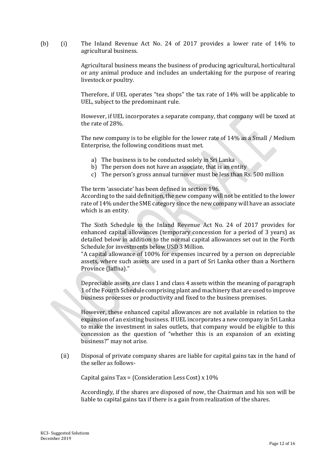(b) (i) The Inland Revenue Act No. 24 of 2017 provides a lower rate of 14% to agricultural business.

> Agricultural business means the business of producing agricultural, horticultural or any animal produce and includes an undertaking for the purpose of rearing livestock or poultry.

> Therefore, if UEL operates "tea shops" the tax rate of 14% will be applicable to UEL, subject to the predominant rule.

> However, if UEL incorporates a separate company, that company will be taxed at the rate of 28%.

> The new company is to be eligible for the lower rate of 14% as a Small / Medium Enterprise, the following conditions must met.

- a) The business is to be conducted solely in Sri Lanka
- b) The person does not have an associate, that is an entity
- c) The person's gross annual turnover must be less than Rs. 500 million

The term 'associate' has been defined in section 196. According to the said definition, the new company will not be entitled to the lower rate of 14% under the SME category since the new company will have an associate which is an entity.

The Sixth Schedule to the Inland Revenue Act No. 24 of 2017 provides for enhanced capital allowances (temporary concession for a period of 3 years) as detailed below in addition to the normal capital allowances set out in the Forth Schedule for investments below USD 3 Million.

"A capital allowance of 100% for expenses incurred by a person on depreciable assets, where such assets are used in a part of Sri Lanka other than a Northern Province (Jaffna)."

Depreciable assets are class 1 and class 4 assets within the meaning of paragraph 1 of the Fourth Schedule comprising plant and machinery that are used to improve business processes or productivity and fixed to the business premises.

However, these enhanced capital allowances are not available in relation to the expansion of an existing business. If UEL incorporates a new company in Sri Lanka to make the investment in sales outlets, that company would be eligible to this concession as the question of "whether this is an expansion of an existing business?" may not arise.

(ii) Disposal of private company shares are liable for capital gains tax in the hand of the seller as follows-

Capital gains  $\text{Tax} = (\text{Consideration Less Cost}) \times 10\%$ 

Accordingly, if the shares are disposed of now, the Chairman and his son will be liable to capital gains tax if there is a gain from realization of the shares.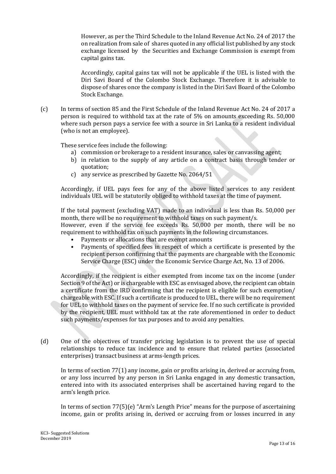However, as per the Third Schedule to the Inland Revenue Act No. 24 of 2017 the on realization from sale of shares quoted in any official list published by any stock exchange licensed by the Securities and Exchange Commission is exempt from capital gains tax.

Accordingly, capital gains tax will not be applicable if the UEL is listed with the Diri Savi Board of the Colombo Stock Exchange. Therefore it is advisable to dispose of shares once the company is listed in the Diri Savi Board of the Colombo Stock Exchange.

(c) In terms of section 85 and the First Schedule of the Inland Revenue Act No. 24 of 2017 a person is required to withhold tax at the rate of 5% on amounts exceeding Rs. 50,000 where such person pays a service fee with a source in Sri Lanka to a resident individual (who is not an employee).

These service fees include the following:

- a) commission or brokerage to a resident insurance, sales or canvassing agent;
- b) in relation to the supply of any article on a contract basis through tender or quotation;
- c) any service as prescribed by Gazette No. 2064/51

Accordingly, if UEL pays fees for any of the above listed services to any resident individuals UEL will be statutorily obliged to withhold taxes at the time of payment.

If the total payment (excluding VAT) made to an individual is less than Rs. 50,000 per month, there will be no requirement to withhold taxes on such payment/s. However, even if the service fee exceeds Rs. 50,000 per month, there will be no requirement to withhold tax on such payments in the following circumstances.

- Payments or allocations that are exempt amounts
- Payments of specified fees in respect of which a certificate is presented by the recipient person confirming that the payments are chargeable with the Economic Service Charge (ESC) under the Economic Service Charge Act, No. 13 of 2006.

Accordingly, if the recipient is either exempted from income tax on the income (under Section 9 of the Act) or is chargeable with ESC as envisaged above, the recipient can obtain a certificate from the IRD confirming that the recipient is eligible for such exemption/ chargeable with ESC. If such a certificate is produced to UEL, there will be no requirement for UEL to withhold taxes on the payment of service fee. If no such certificate is provided by the recipient, UEL must withhold tax at the rate aforementioned in order to deduct such payments/expenses for tax purposes and to avoid any penalties.

(d) One of the objectives of transfer pricing legislation is to prevent the use of special relationships to reduce tax incidence and to ensure that related parties (associated enterprises) transact business at arms-length prices.

In terms of section 77(1) any income, gain or profits arising in, derived or accruing from, or any loss incurred by any person in Sri Lanka engaged in any domestic transaction, entered into with its associated enterprises shall be ascertained having regard to the arm's length price.

In terms of section 77(5)(e) "Arm's Length Price" means for the purpose of ascertaining income, gain or profits arising in, derived or accruing from or losses incurred in any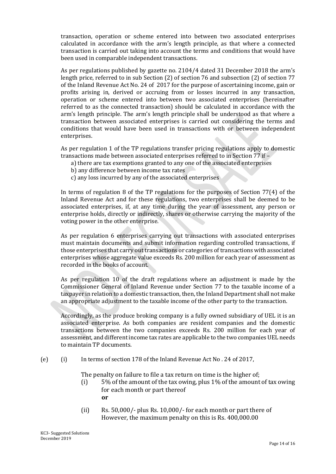transaction, operation or scheme entered into between two associated enterprises calculated in accordance with the arm's length principle, as that where a connected transaction is carried out taking into account the terms and conditions that would have been used in comparable independent transactions.

As per regulations published by gazette no. 2104/4 dated 31 December 2018 the arm's length price, referred to in sub Section (2) of section 76 and subsection (2) of section 77 of the Inland Revenue Act No. 24 of 2017 for the purpose of ascertaining income, gain or profits arising in, derived or accruing from or losses incurred in any transaction, operation or scheme entered into between two associated enterprises (hereinafter referred to as the connected transaction) should be calculated in accordance with the arm's length principle. The arm's length principle shall be understood as that where a transaction between associated enterprises is carried out considering the terms and conditions that would have been used in transactions with or between independent enterprises.

As per regulation 1 of the TP regulations transfer pricing regulations apply to domestic transactions made between associated enterprises referred to in Section 77 if –

- a) there are tax exemptions granted to any one of the associated enterprises
- b) any difference between income tax rates
- c) any loss incurred by any of the associated enterprises

In terms of regulation 8 of the TP regulations for the purposes of Section 77(4) of the Inland Revenue Act and for these regulations, two enterprises shall be deemed to be associated enterprises, if, at any time during the year of assessment, any person or enterprise holds, directly or indirectly, shares or otherwise carrying the majority of the voting power in the other enterprise.

As per regulation 6 enterprises carrying out transactions with associated enterprises must maintain documents and submit information regarding controlled transactions, if those enterprises that carry out transactions or categories of transactions with associated enterprises whose aggregate value exceeds Rs. 200 million for each year of assessment as recorded in the books of account.

As per regulation 10 of the draft regulations where an adjustment is made by the Commissioner General of Inland Revenue under Section 77 to the taxable income of a taxpayer in relation to a domestic transaction, then, the Inland Department shall not make an appropriate adjustment to the taxable income of the other party to the transaction.

Accordingly, as the produce broking company is a fully owned subsidiary of UEL it is an associated enterprise. As both companies are resident companies and the domestic transactions between the two companies exceeds Rs. 200 million for each year of assessment, and different income tax rates are applicable to the two companies UEL needs to maintain TP documents.

(e) (i) In terms of section 178 of the Inland Revenue Act No . 24 of 2017,

The penalty on failure to file a tax return on time is the higher of;

- (i) 5% of the amount of the tax owing, plus 1% of the amount of tax owing for each month or part thereof **or**
- (ii) Rs. 50,000/- plus Rs. 10,000/- for each month or part there of However, the maximum penalty on this is Rs. 400,000.00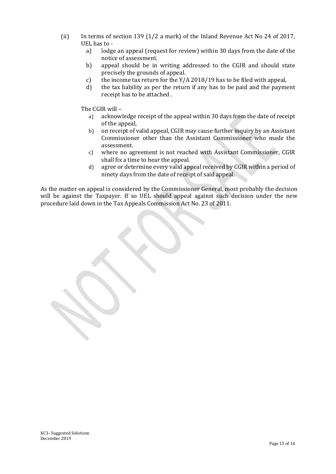- (ii) In terms of section 139 (1/2 a mark) of the Inland Revenue Act No 24 of 2017, UEL has to
	- a) lodge an appeal (request for review) within 30 days from the date of the notice of assessment.
	- b) appeal should be in writing addressed to the CGIR and should state precisely the grounds of appeal.
	- c) the income tax return for the  $Y/A$  2018/19 has to be filed with appeal,
	- d) the tax liability as per the return if any has to be paid and the payment receipt has to be attached .

The CGIR will –

- a) acknowledge receipt of the appeal within 30 days from the date of receipt of the appeal,
- b) on receipt of valid appeal, CGIR may cause further inquiry by an Assistant Commissioner other than the Assistant Commissioner who made the assessment.
- c) where no agreement is not reached with Assistant Commissioner, CGIR shall fix a time to hear the appeal.
- d) agree or determine every valid appeal received by CGIR within a period of ninety days from the date of receipt of said appeal.

As the matter on appeal is considered by the Commissioner General, most probably the decision will be against the Taxpayer. If so UEL should appeal against such decision under the new procedure laid down in the Tax Appeals Commission Act No. 23 of 2011.